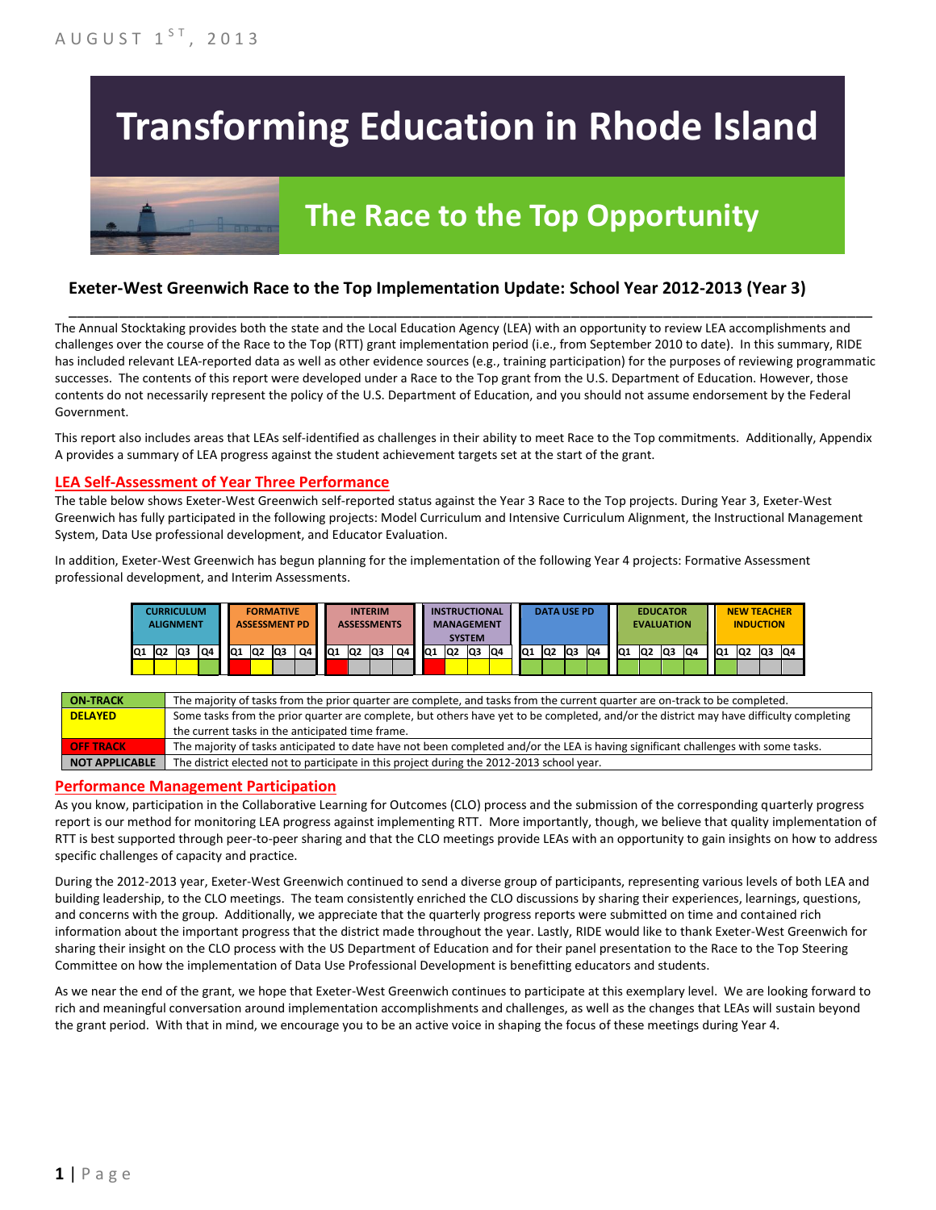# **Transforming Education in Rhode Island**

# **The Race to the Top Opportunity**

### **Exeter-West Greenwich Race to the Top Implementation Update: School Year 2012-2013 (Year 3)**

The Annual Stocktaking provides both the state and the Local Education Agency (LEA) with an opportunity to review LEA accomplishments and challenges over the course of the Race to the Top (RTT) grant implementation period (i.e., from September 2010 to date). In this summary, RIDE has included relevant LEA-reported data as well as other evidence sources (e.g., training participation) for the purposes of reviewing programmatic successes. The contents of this report were developed under a Race to the Top grant from the U.S. Department of Education. However, those contents do not necessarily represent the policy of the U.S. Department of Education, and you should not assume endorsement by the Federal Government.

\_\_\_\_\_\_\_\_\_\_\_\_\_\_\_\_\_\_\_\_\_\_\_\_\_\_\_\_\_\_\_\_\_\_\_\_\_\_\_\_\_\_\_\_\_\_\_\_\_\_\_\_\_\_\_\_\_\_\_\_\_\_\_\_\_\_\_\_\_\_\_\_\_\_\_\_\_\_\_\_\_\_\_\_\_\_\_\_\_\_\_\_\_\_\_\_

This report also includes areas that LEAs self-identified as challenges in their ability to meet Race to the Top commitments. Additionally, Appendix A provides a summary of LEA progress against the student achievement targets set at the start of the grant.

### **LEA Self-Assessment of Year Three Performance**

The table below shows Exeter-West Greenwich self-reported status against the Year 3 Race to the Top projects. During Year 3, Exeter-West Greenwich has fully participated in the following projects: Model Curriculum and Intensive Curriculum Alignment, the Instructional Management System, Data Use professional development, and Educator Evaluation.

In addition, Exeter-West Greenwich has begun planning for the implementation of the following Year 4 projects: Formative Assessment professional development, and Interim Assessments.



| <b>ON-TRACK</b>  | The majority of tasks from the prior quarter are complete, and tasks from the current quarter are on-track to be completed.             |
|------------------|-----------------------------------------------------------------------------------------------------------------------------------------|
| <b>DELAYED</b>   | Some tasks from the prior quarter are complete, but others have yet to be completed, and/or the district may have difficulty completing |
|                  | the current tasks in the anticipated time frame.                                                                                        |
| <b>OFF TRACK</b> | The majority of tasks anticipated to date have not been completed and/or the LEA is having significant challenges with some tasks.      |
| NOT APPLICABLE   | The district elected not to participate in this project during the 2012-2013 school year.                                               |

#### **Performance Management Participation**

As you know, participation in the Collaborative Learning for Outcomes (CLO) process and the submission of the corresponding quarterly progress report is our method for monitoring LEA progress against implementing RTT. More importantly, though, we believe that quality implementation of RTT is best supported through peer-to-peer sharing and that the CLO meetings provide LEAs with an opportunity to gain insights on how to address specific challenges of capacity and practice.

During the 2012-2013 year, Exeter-West Greenwich continued to send a diverse group of participants, representing various levels of both LEA and building leadership, to the CLO meetings. The team consistently enriched the CLO discussions by sharing their experiences, learnings, questions, and concerns with the group. Additionally, we appreciate that the quarterly progress reports were submitted on time and contained rich information about the important progress that the district made throughout the year. Lastly, RIDE would like to thank Exeter-West Greenwich for sharing their insight on the CLO process with the US Department of Education and for their panel presentation to the Race to the Top Steering Committee on how the implementation of Data Use Professional Development is benefitting educators and students.

As we near the end of the grant, we hope that Exeter-West Greenwich continues to participate at this exemplary level. We are looking forward to rich and meaningful conversation around implementation accomplishments and challenges, as well as the changes that LEAs will sustain beyond the grant period. With that in mind, we encourage you to be an active voice in shaping the focus of these meetings during Year 4.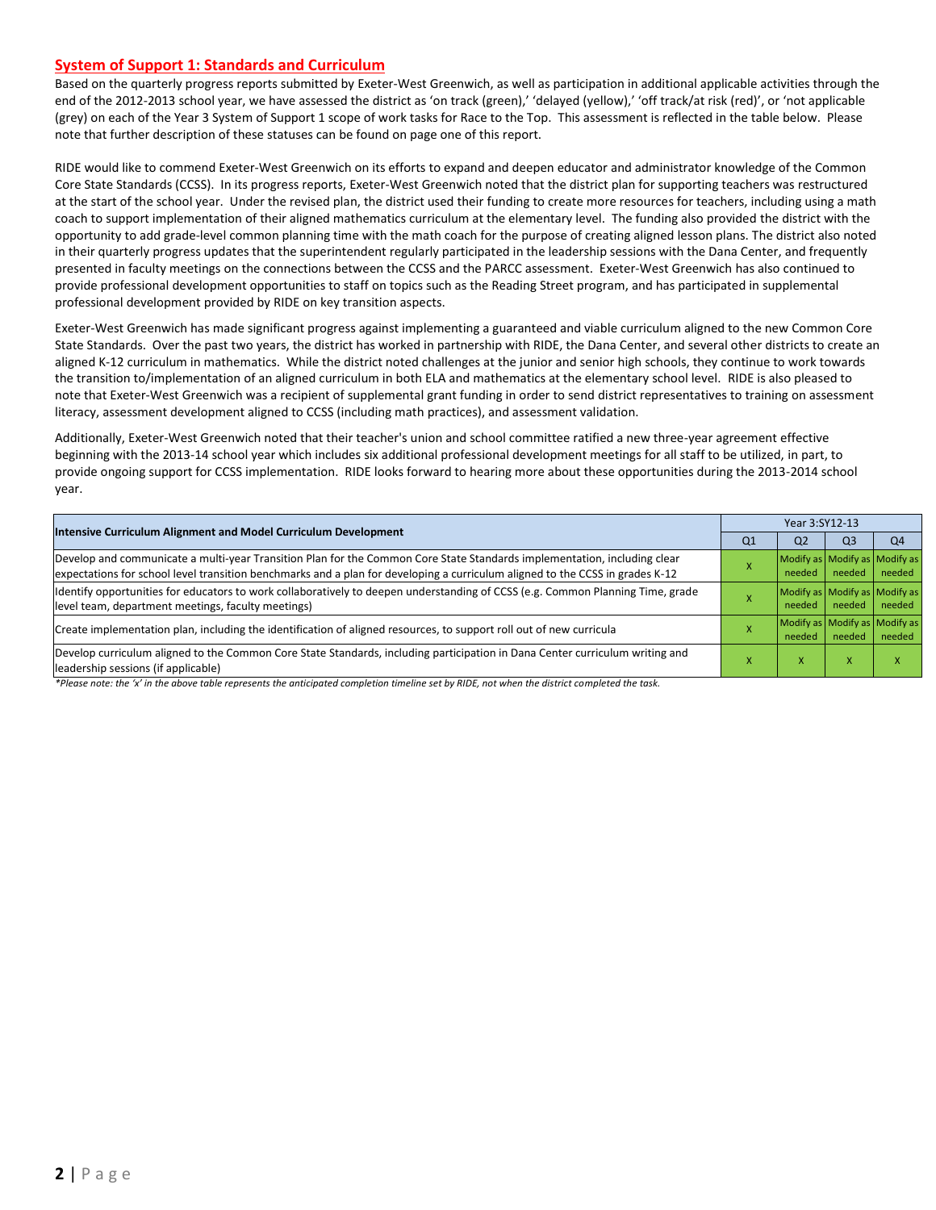#### **System of Support 1: Standards and Curriculum**

Based on the quarterly progress reports submitted by Exeter-West Greenwich, as well as participation in additional applicable activities through the end of the 2012-2013 school year, we have assessed the district as 'on track (green),' 'delayed (yellow),' 'off track/at risk (red)', or 'not applicable (grey) on each of the Year 3 System of Support 1 scope of work tasks for Race to the Top. This assessment is reflected in the table below. Please note that further description of these statuses can be found on page one of this report.

RIDE would like to commend Exeter-West Greenwich on its efforts to expand and deepen educator and administrator knowledge of the Common Core State Standards (CCSS). In its progress reports, Exeter-West Greenwich noted that the district plan for supporting teachers was restructured at the start of the school year. Under the revised plan, the district used their funding to create more resources for teachers, including using a math coach to support implementation of their aligned mathematics curriculum at the elementary level. The funding also provided the district with the opportunity to add grade-level common planning time with the math coach for the purpose of creating aligned lesson plans. The district also noted in their quarterly progress updates that the superintendent regularly participated in the leadership sessions with the Dana Center, and frequently presented in faculty meetings on the connections between the CCSS and the PARCC assessment. Exeter-West Greenwich has also continued to provide professional development opportunities to staff on topics such as the Reading Street program, and has participated in supplemental professional development provided by RIDE on key transition aspects.

Exeter-West Greenwich has made significant progress against implementing a guaranteed and viable curriculum aligned to the new Common Core State Standards. Over the past two years, the district has worked in partnership with RIDE, the Dana Center, and several other districts to create an aligned K-12 curriculum in mathematics. While the district noted challenges at the junior and senior high schools, they continue to work towards the transition to/implementation of an aligned curriculum in both ELA and mathematics at the elementary school level. RIDE is also pleased to note that Exeter-West Greenwich was a recipient of supplemental grant funding in order to send district representatives to training on assessment literacy, assessment development aligned to CCSS (including math practices), and assessment validation.

Additionally, Exeter-West Greenwich noted that their teacher's union and school committee ratified a new three-year agreement effective beginning with the 2013-14 school year which includes six additional professional development meetings for all staff to be utilized, in part, to provide ongoing support for CCSS implementation. RIDE looks forward to hearing more about these opportunities during the 2013-2014 school year.

| <b>Intensive Curriculum Alignment and Model Curriculum Development</b>                                                                                                                                                                                    | Year 3:SY12-13 |                                         |                |                                         |  |  |
|-----------------------------------------------------------------------------------------------------------------------------------------------------------------------------------------------------------------------------------------------------------|----------------|-----------------------------------------|----------------|-----------------------------------------|--|--|
|                                                                                                                                                                                                                                                           | Q1             | Q <sub>2</sub>                          | Q <sub>3</sub> | Q <sub>4</sub>                          |  |  |
| Develop and communicate a multi-year Transition Plan for the Common Core State Standards implementation, including clear<br>expectations for school level transition benchmarks and a plan for developing a curriculum aligned to the CCSS in grades K-12 |                | Modify as Modify as Modify as<br>needed | needed         | needed                                  |  |  |
| Identify opportunities for educators to work collaboratively to deepen understanding of CCSS (e.g. Common Planning Time, grade<br>level team, department meetings, faculty meetings)                                                                      |                | needed                                  | needed         | Modify as Modify as Modify as<br>needed |  |  |
| Create implementation plan, including the identification of aligned resources, to support roll out of new curricula                                                                                                                                       |                | needed                                  | needed         | Modify as Modify as Modify as<br>needed |  |  |
| Develop curriculum aligned to the Common Core State Standards, including participation in Dana Center curriculum writing and<br>leadership sessions (if applicable)                                                                                       |                | $\mathbf{\Lambda}$                      |                |                                         |  |  |

*\*Please note: the 'x' in the above table represents the anticipated completion timeline set by RIDE, not when the district completed the task.*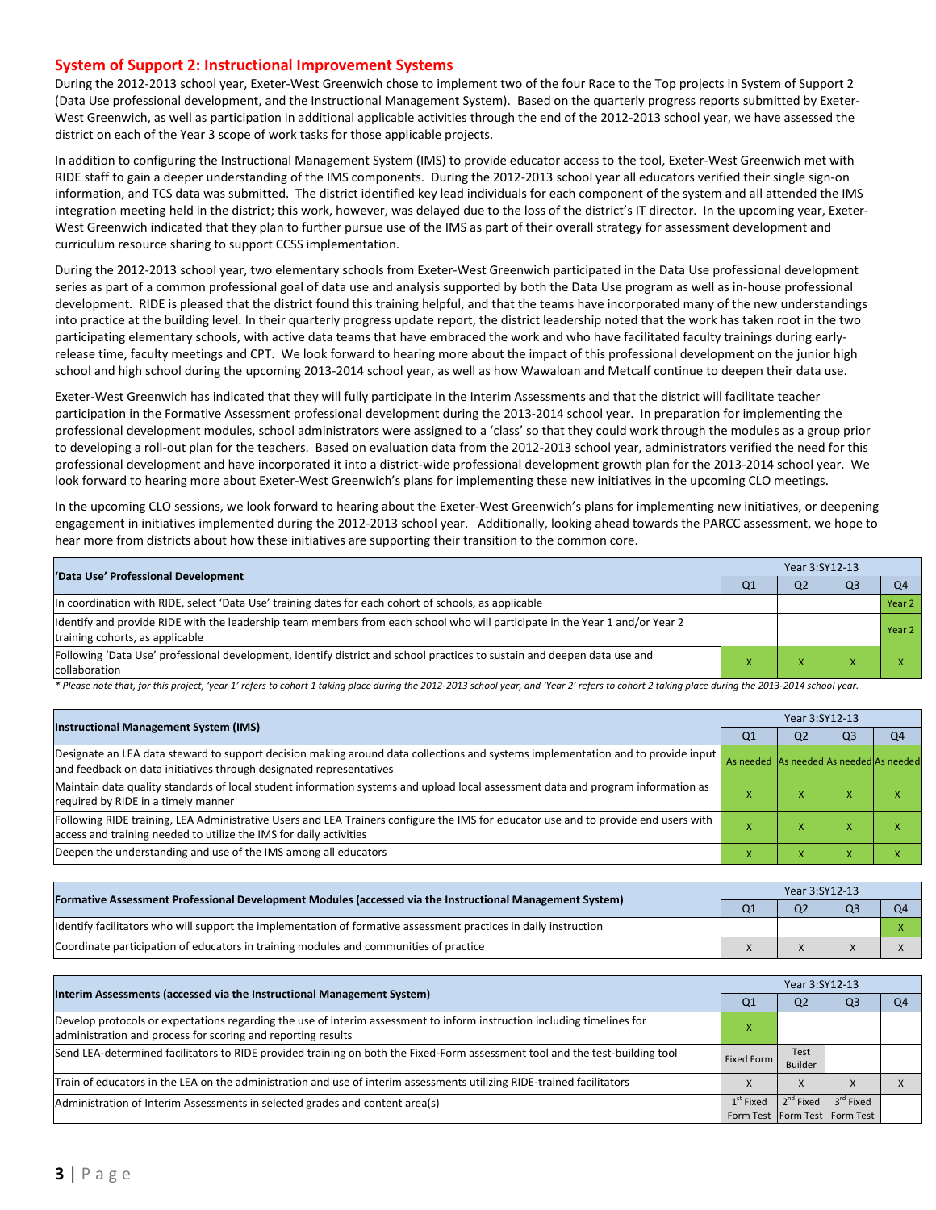#### **System of Support 2: Instructional Improvement Systems**

During the 2012-2013 school year, Exeter-West Greenwich chose to implement two of the four Race to the Top projects in System of Support 2 (Data Use professional development, and the Instructional Management System). Based on the quarterly progress reports submitted by Exeter-West Greenwich, as well as participation in additional applicable activities through the end of the 2012-2013 school year, we have assessed the district on each of the Year 3 scope of work tasks for those applicable projects.

In addition to configuring the Instructional Management System (IMS) to provide educator access to the tool, Exeter-West Greenwich met with RIDE staff to gain a deeper understanding of the IMS components. During the 2012-2013 school year all educators verified their single sign-on information, and TCS data was submitted. The district identified key lead individuals for each component of the system and all attended the IMS integration meeting held in the district; this work, however, was delayed due to the loss of the district's IT director. In the upcoming year, Exeter-West Greenwich indicated that they plan to further pursue use of the IMS as part of their overall strategy for assessment development and curriculum resource sharing to support CCSS implementation.

During the 2012-2013 school year, two elementary schools from Exeter-West Greenwich participated in the Data Use professional development series as part of a common professional goal of data use and analysis supported by both the Data Use program as well as in-house professional development. RIDE is pleased that the district found this training helpful, and that the teams have incorporated many of the new understandings into practice at the building level. In their quarterly progress update report, the district leadership noted that the work has taken root in the two participating elementary schools, with active data teams that have embraced the work and who have facilitated faculty trainings during earlyrelease time, faculty meetings and CPT. We look forward to hearing more about the impact of this professional development on the junior high school and high school during the upcoming 2013-2014 school year, as well as how Wawaloan and Metcalf continue to deepen their data use.

Exeter-West Greenwich has indicated that they will fully participate in the Interim Assessments and that the district will facilitate teacher participation in the Formative Assessment professional development during the 2013-2014 school year. In preparation for implementing the professional development modules, school administrators were assigned to a 'class' so that they could work through the modules as a group prior to developing a roll-out plan for the teachers. Based on evaluation data from the 2012-2013 school year, administrators verified the need for this professional development and have incorporated it into a district-wide professional development growth plan for the 2013-2014 school year. We look forward to hearing more about Exeter-West Greenwich's plans for implementing these new initiatives in the upcoming CLO meetings.

In the upcoming CLO sessions, we look forward to hearing about the Exeter-West Greenwich's plans for implementing new initiatives, or deepening engagement in initiatives implemented during the 2012-2013 school year. Additionally, looking ahead towards the PARCC assessment, we hope to hear more from districts about how these initiatives are supporting their transition to the common core.

| 'Data Use' Professional Development                                                                                                                             |  | Year 3:SY12-13 |                |                |  |  |  |
|-----------------------------------------------------------------------------------------------------------------------------------------------------------------|--|----------------|----------------|----------------|--|--|--|
|                                                                                                                                                                 |  | Q <sub>2</sub> | Q <sub>3</sub> | O <sub>4</sub> |  |  |  |
| In coordination with RIDE, select 'Data Use' training dates for each cohort of schools, as applicable                                                           |  |                |                | Year 2         |  |  |  |
| Identify and provide RIDE with the leadership team members from each school who will participate in the Year 1 and/or Year 2<br>training cohorts, as applicable |  |                |                | Year 2         |  |  |  |
| Following 'Data Use' professional development, identify district and school practices to sustain and deepen data use and<br>collaboration                       |  |                |                |                |  |  |  |

\* Please note that, for this project, 'year 1' refers to cohort 1 taking place during the 2012-2013 school year, and 'Year 2' refers to cohort 2 taking place during the 2013-2014 school year.

|                                                                                                                                                                                                           |                                         | Year 3:SY12-13 |                |                |  |  |  |
|-----------------------------------------------------------------------------------------------------------------------------------------------------------------------------------------------------------|-----------------------------------------|----------------|----------------|----------------|--|--|--|
| <b>Instructional Management System (IMS)</b>                                                                                                                                                              |                                         |                | Q <sub>3</sub> | Q <sub>4</sub> |  |  |  |
| Designate an LEA data steward to support decision making around data collections and systems implementation and to provide input<br>and feedback on data initiatives through designated representatives   | As needed As needed As needed As needed |                |                |                |  |  |  |
| Maintain data quality standards of local student information systems and upload local assessment data and program information as<br>required by RIDE in a timely manner                                   |                                         | $\lambda$      |                |                |  |  |  |
| Following RIDE training, LEA Administrative Users and LEA Trainers configure the IMS for educator use and to provide end users with<br>access and training needed to utilize the IMS for daily activities |                                         | $\lambda$      |                |                |  |  |  |
| Deepen the understanding and use of the IMS among all educators                                                                                                                                           |                                         | $\lambda$      |                |                |  |  |  |

| [Formative Assessment Professional Development Modules (accessed via the Instructional Management System)        |  | Year 3:SY12-13 |  |  |  |  |  |
|------------------------------------------------------------------------------------------------------------------|--|----------------|--|--|--|--|--|
|                                                                                                                  |  | Q <sub>2</sub> |  |  |  |  |  |
| ldentify facilitators who will support the implementation of formative assessment practices in daily instruction |  |                |  |  |  |  |  |
| Coordinate participation of educators in training modules and communities of practice                            |  |                |  |  |  |  |  |

| Interim Assessments (accessed via the Instructional Management System)                                                                                                                  |                | Year 3:SY12-13         |                                                            |    |  |  |  |
|-----------------------------------------------------------------------------------------------------------------------------------------------------------------------------------------|----------------|------------------------|------------------------------------------------------------|----|--|--|--|
|                                                                                                                                                                                         | Q <sub>1</sub> | Q <sub>2</sub>         | Q3                                                         | O4 |  |  |  |
| Develop protocols or expectations regarding the use of interim assessment to inform instruction including timelines for<br>administration and process for scoring and reporting results |                |                        |                                                            |    |  |  |  |
| Send LEA-determined facilitators to RIDE provided training on both the Fixed-Form assessment tool and the test-building tool                                                            | Fixed Form     | Test<br><b>Builder</b> |                                                            |    |  |  |  |
| Train of educators in the LEA on the administration and use of interim assessments utilizing RIDE-trained facilitators                                                                  |                | $\Lambda$              |                                                            |    |  |  |  |
| Administration of Interim Assessments in selected grades and content area(s)                                                                                                            | $1st$ Fixed    | $2^{nd}$ Fixed         | 3 <sup>rd</sup> Fixed<br>Form Test   Form Test   Form Test |    |  |  |  |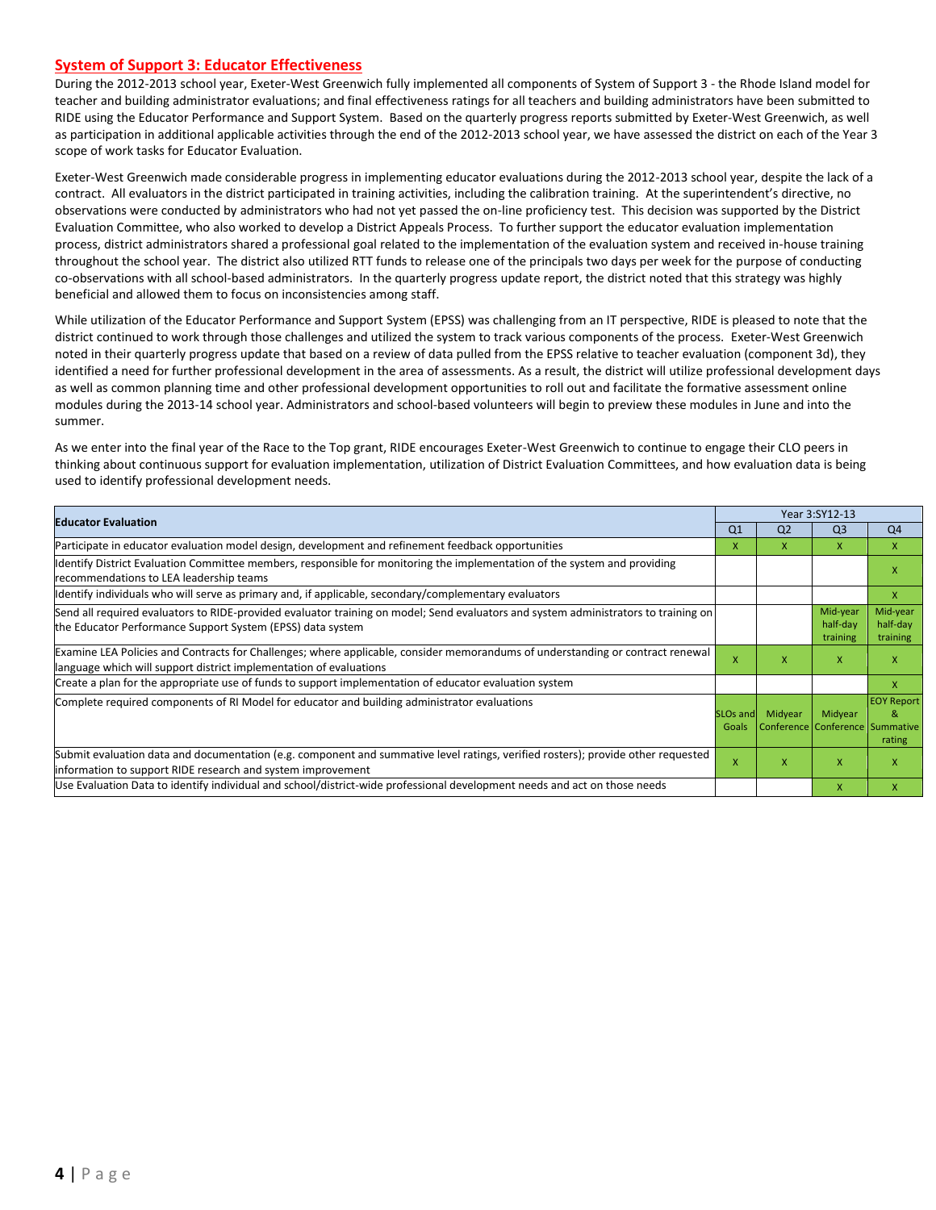#### **System of Support 3: Educator Effectiveness**

During the 2012-2013 school year, Exeter-West Greenwich fully implemented all components of System of Support 3 - the Rhode Island model for teacher and building administrator evaluations; and final effectiveness ratings for all teachers and building administrators have been submitted to RIDE using the Educator Performance and Support System. Based on the quarterly progress reports submitted by Exeter-West Greenwich, as well as participation in additional applicable activities through the end of the 2012-2013 school year, we have assessed the district on each of the Year 3 scope of work tasks for Educator Evaluation.

Exeter-West Greenwich made considerable progress in implementing educator evaluations during the 2012-2013 school year, despite the lack of a contract. All evaluators in the district participated in training activities, including the calibration training. At the superintendent's directive, no observations were conducted by administrators who had not yet passed the on-line proficiency test. This decision was supported by the District Evaluation Committee, who also worked to develop a District Appeals Process. To further support the educator evaluation implementation process, district administrators shared a professional goal related to the implementation of the evaluation system and received in-house training throughout the school year. The district also utilized RTT funds to release one of the principals two days per week for the purpose of conducting co-observations with all school-based administrators. In the quarterly progress update report, the district noted that this strategy was highly beneficial and allowed them to focus on inconsistencies among staff.

While utilization of the Educator Performance and Support System (EPSS) was challenging from an IT perspective, RIDE is pleased to note that the district continued to work through those challenges and utilized the system to track various components of the process. Exeter-West Greenwich noted in their quarterly progress update that based on a review of data pulled from the EPSS relative to teacher evaluation (component 3d), they identified a need for further professional development in the area of assessments. As a result, the district will utilize professional development days as well as common planning time and other professional development opportunities to roll out and facilitate the formative assessment online modules during the 2013-14 school year. Administrators and school-based volunteers will begin to preview these modules in June and into the summer.

As we enter into the final year of the Race to the Top grant, RIDE encourages Exeter-West Greenwich to continue to engage their CLO peers in thinking about continuous support for evaluation implementation, utilization of District Evaluation Committees, and how evaluation data is being used to identify professional development needs.

| <b>Educator Evaluation</b>                                                                                                                                                                           |                |                | Year 3:SY12-13                             |                                  |  |
|------------------------------------------------------------------------------------------------------------------------------------------------------------------------------------------------------|----------------|----------------|--------------------------------------------|----------------------------------|--|
|                                                                                                                                                                                                      | Q <sub>1</sub> | Q <sub>2</sub> | Q <sub>3</sub>                             | Q <sub>4</sub>                   |  |
| Participate in educator evaluation model design, development and refinement feedback opportunities                                                                                                   | x              | X.             | X                                          | X                                |  |
| Identify District Evaluation Committee members, responsible for monitoring the implementation of the system and providing<br>recommendations to LEA leadership teams                                 |                |                |                                            | X                                |  |
| ldentify individuals who will serve as primary and, if applicable, secondary/complementary evaluators                                                                                                |                |                |                                            | X                                |  |
| Send all required evaluators to RIDE-provided evaluator training on model; Send evaluators and system administrators to training on<br>the Educator Performance Support System (EPSS) data system    |                |                | Mid-year<br>half-day<br>training           | Mid-year<br>half-day<br>training |  |
| Examine LEA Policies and Contracts for Challenges; where applicable, consider memorandums of understanding or contract renewal<br>language which will support district implementation of evaluations |                | x              | X                                          | X                                |  |
| Create a plan for the appropriate use of funds to support implementation of educator evaluation system                                                                                               |                |                |                                            | X                                |  |
| Complete required components of RI Model for educator and building administrator evaluations<br>SLO <sub>s</sub> and<br>Goals                                                                        |                | Midyear        | Midyear<br>Conference Conference Summative | <b>EOY Report</b><br>&<br>rating |  |
| Submit evaluation data and documentation (e.g. component and summative level ratings, verified rosters); provide other requested<br>information to support RIDE research and system improvement      | X              | x              | $\mathsf{x}$                               | X                                |  |
| Use Evaluation Data to identify individual and school/district-wide professional development needs and act on those needs                                                                            |                |                | X                                          | X                                |  |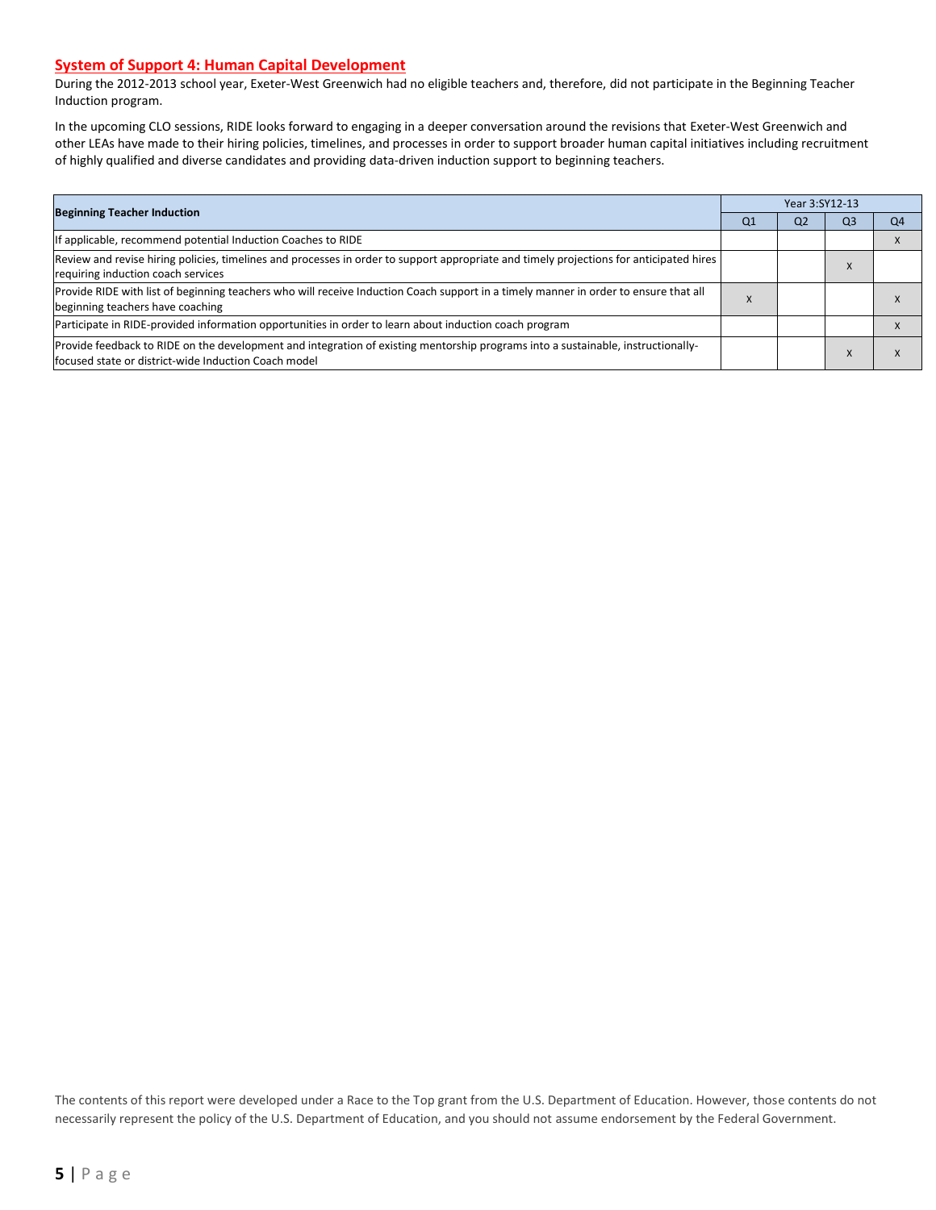#### **System of Support 4: Human Capital Development**

During the 2012-2013 school year, Exeter-West Greenwich had no eligible teachers and, therefore, did not participate in the Beginning Teacher Induction program.

In the upcoming CLO sessions, RIDE looks forward to engaging in a deeper conversation around the revisions that Exeter-West Greenwich and other LEAs have made to their hiring policies, timelines, and processes in order to support broader human capital initiatives including recruitment of highly qualified and diverse candidates and providing data-driven induction support to beginning teachers.

| <b>Beginning Teacher Induction</b>                                                                                                                                                       |  | Year 3:SY12-13 |                |    |  |  |  |
|------------------------------------------------------------------------------------------------------------------------------------------------------------------------------------------|--|----------------|----------------|----|--|--|--|
|                                                                                                                                                                                          |  | Q <sub>2</sub> | Q <sub>3</sub> | Q4 |  |  |  |
| If applicable, recommend potential Induction Coaches to RIDE                                                                                                                             |  |                |                |    |  |  |  |
| Review and revise hiring policies, timelines and processes in order to support appropriate and timely projections for anticipated hires<br>requiring induction coach services            |  |                | $\Lambda$      |    |  |  |  |
| Provide RIDE with list of beginning teachers who will receive Induction Coach support in a timely manner in order to ensure that all<br>beginning teachers have coaching                 |  |                |                |    |  |  |  |
| Participate in RIDE-provided information opportunities in order to learn about induction coach program                                                                                   |  |                |                |    |  |  |  |
| Provide feedback to RIDE on the development and integration of existing mentorship programs into a sustainable, instructionally-<br>focused state or district-wide Induction Coach model |  |                | $\Lambda$      |    |  |  |  |

The contents of this report were developed under a Race to the Top grant from the U.S. Department of Education. However, those contents do not necessarily represent the policy of the U.S. Department of Education, and you should not assume endorsement by the Federal Government.